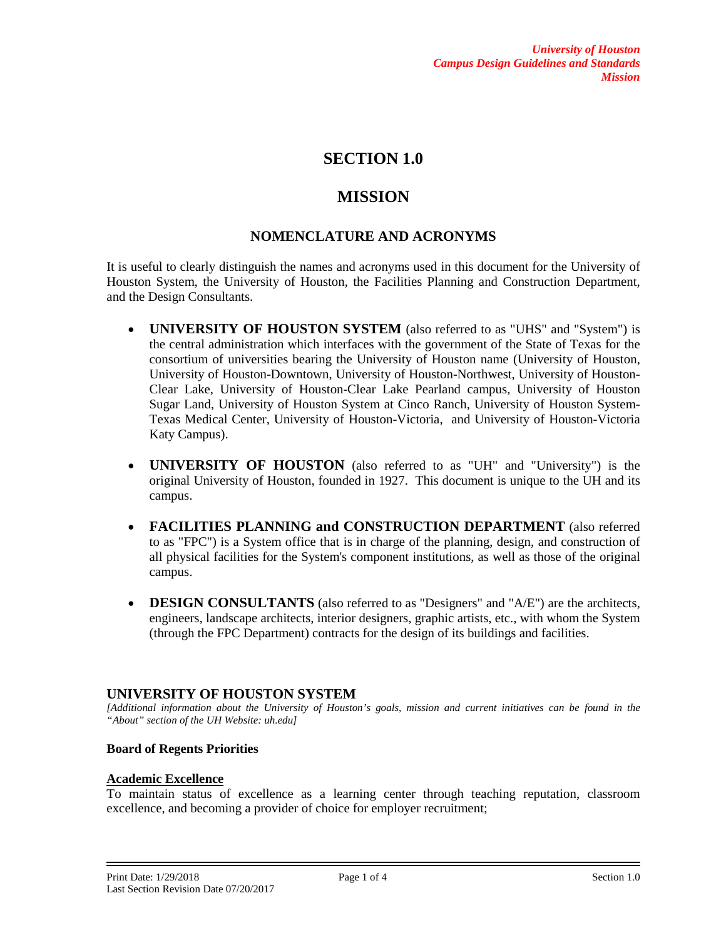# **SECTION 1.0**

# **MISSION**

## **NOMENCLATURE AND ACRONYMS**

It is useful to clearly distinguish the names and acronyms used in this document for the University of Houston System, the University of Houston, the Facilities Planning and Construction Department, and the Design Consultants.

- **UNIVERSITY OF HOUSTON SYSTEM** (also referred to as "UHS" and "System") is the central administration which interfaces with the government of the State of Texas for the consortium of universities bearing the University of Houston name (University of Houston, University of Houston-Downtown, University of Houston-Northwest, University of Houston-Clear Lake, University of Houston-Clear Lake Pearland campus, University of Houston Sugar Land, University of Houston System at Cinco Ranch, University of Houston System-Texas Medical Center, University of Houston-Victoria, and University of Houston-Victoria Katy Campus).
- **UNIVERSITY OF HOUSTON** (also referred to as "UH" and "University") is the original University of Houston, founded in 1927. This document is unique to the UH and its campus.
- **FACILITIES PLANNING and CONSTRUCTION DEPARTMENT** (also referred to as "FPC") is a System office that is in charge of the planning, design, and construction of all physical facilities for the System's component institutions, as well as those of the original campus.
- **DESIGN CONSULTANTS** (also referred to as "Designers" and "A/E") are the architects, engineers, landscape architects, interior designers, graphic artists, etc., with whom the System (through the FPC Department) contracts for the design of its buildings and facilities.

## **UNIVERSITY OF HOUSTON SYSTEM**

*[Additional information about the University of Houston's goals, mission and current initiatives can be found in the "About" section of the UH Website: uh.edu]*

## **Board of Regents Priorities**

## **Academic Excellence**

To maintain status of excellence as a learning center through teaching reputation, classroom excellence, and becoming a provider of choice for employer recruitment;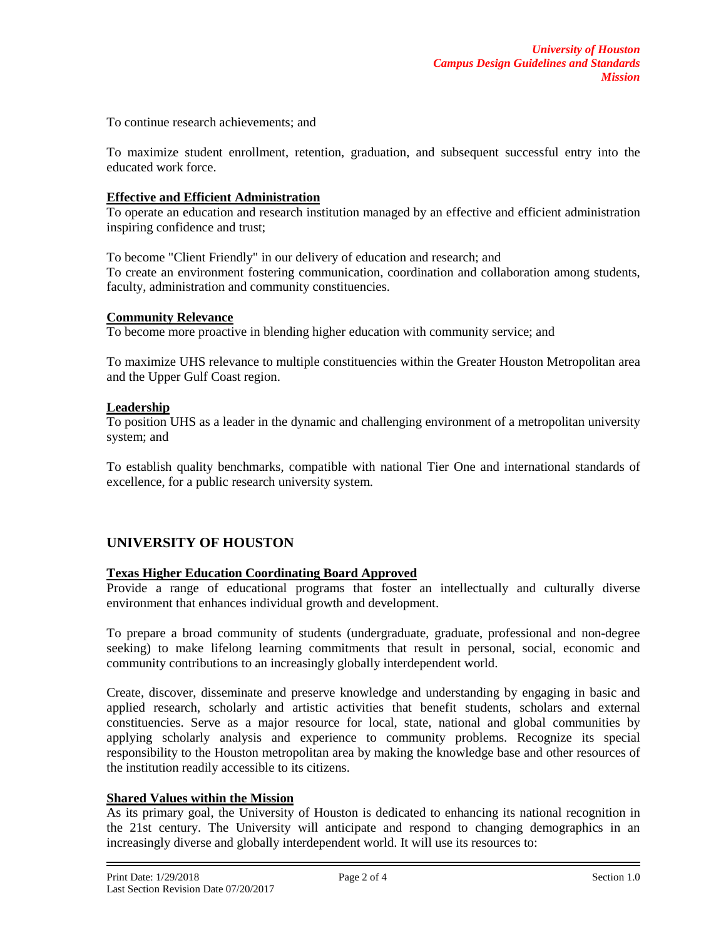To continue research achievements; and

To maximize student enrollment, retention, graduation, and subsequent successful entry into the educated work force.

#### **Effective and Efficient Administration**

To operate an education and research institution managed by an effective and efficient administration inspiring confidence and trust;

To become "Client Friendly" in our delivery of education and research; and To create an environment fostering communication, coordination and collaboration among students, faculty, administration and community constituencies.

#### **Community Relevance**

To become more proactive in blending higher education with community service; and

To maximize UHS relevance to multiple constituencies within the Greater Houston Metropolitan area and the Upper Gulf Coast region.

## **Leadership**

To position UHS as a leader in the dynamic and challenging environment of a metropolitan university system; and

To establish quality benchmarks, compatible with national Tier One and international standards of excellence, for a public research university system.

## **UNIVERSITY OF HOUSTON**

## **Texas Higher Education Coordinating Board Approved**

Provide a range of educational programs that foster an intellectually and culturally diverse environment that enhances individual growth and development.

To prepare a broad community of students (undergraduate, graduate, professional and non-degree seeking) to make lifelong learning commitments that result in personal, social, economic and community contributions to an increasingly globally interdependent world.

Create, discover, disseminate and preserve knowledge and understanding by engaging in basic and applied research, scholarly and artistic activities that benefit students, scholars and external constituencies. Serve as a major resource for local, state, national and global communities by applying scholarly analysis and experience to community problems. Recognize its special responsibility to the Houston metropolitan area by making the knowledge base and other resources of the institution readily accessible to its citizens.

## **Shared Values within the Mission**

As its primary goal, the University of Houston is dedicated to enhancing its national recognition in the 21st century. The University will anticipate and respond to changing demographics in an increasingly diverse and globally interdependent world. It will use its resources to: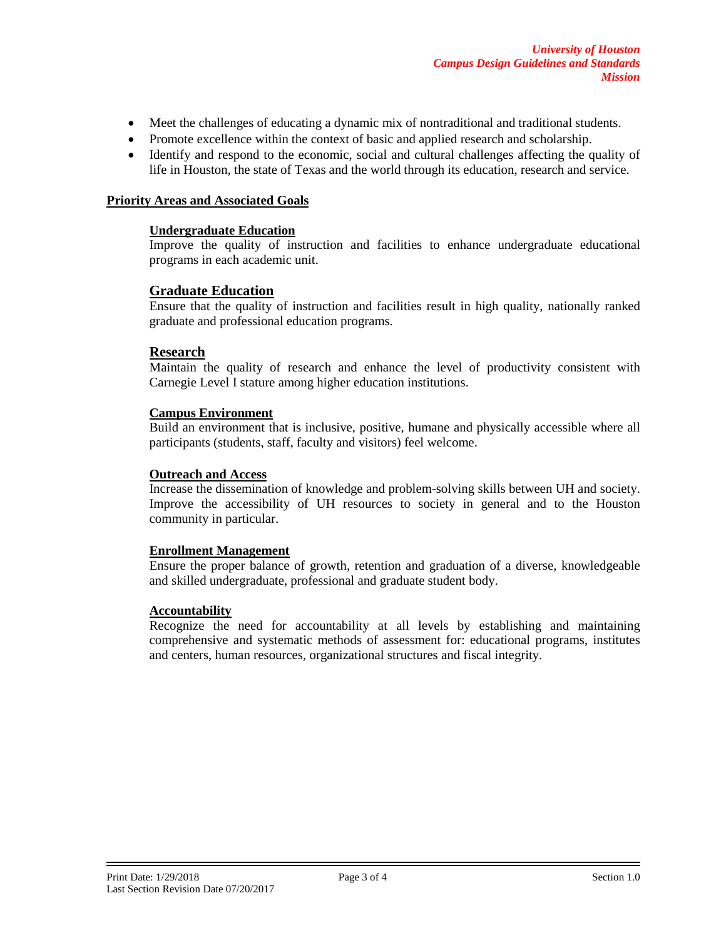- Meet the challenges of educating a dynamic mix of nontraditional and traditional students.
- Promote excellence within the context of basic and applied research and scholarship.
- Identify and respond to the economic, social and cultural challenges affecting the quality of life in Houston, the state of Texas and the world through its education, research and service.

#### **Priority Areas and Associated Goals**

#### **Undergraduate Education**

Improve the quality of instruction and facilities to enhance undergraduate educational programs in each academic unit.

## **Graduate Education**

Ensure that the quality of instruction and facilities result in high quality, nationally ranked graduate and professional education programs.

## **Research**

Maintain the quality of research and enhance the level of productivity consistent with Carnegie Level I stature among higher education institutions.

#### **Campus Environment**

Build an environment that is inclusive, positive, humane and physically accessible where all participants (students, staff, faculty and visitors) feel welcome.

#### **Outreach and Access**

Increase the dissemination of knowledge and problem-solving skills between UH and society. Improve the accessibility of UH resources to society in general and to the Houston community in particular.

#### **Enrollment Management**

Ensure the proper balance of growth, retention and graduation of a diverse, knowledgeable and skilled undergraduate, professional and graduate student body.

#### **Accountability**

Recognize the need for accountability at all levels by establishing and maintaining comprehensive and systematic methods of assessment for: educational programs, institutes and centers, human resources, organizational structures and fiscal integrity.